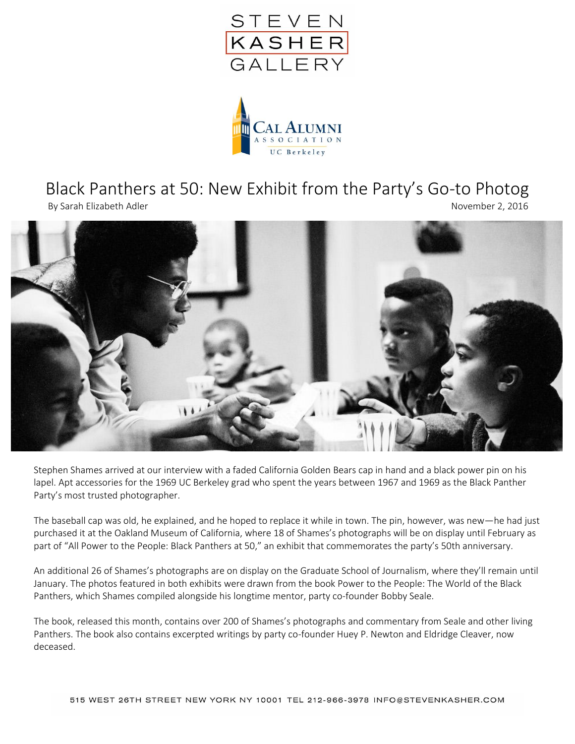



## Black Panthers at 50: New Exhibit from the Party's Go-to Photog

By Sarah Elizabeth Adler November 2, 2016



Stephen Shames arrived at our interview with a faded California Golden Bears cap in hand and a black power pin on his lapel. Apt accessories for the 1969 UC Berkeley grad who spent the years between 1967 and 1969 as the Black Panther Party's most trusted photographer.

The baseball cap was old, he explained, and he hoped to replace it while in town. The pin, however, was new—he had just purchased it at the Oakland Museum of California, where 18 of Shames's photographs will be on display until February as part of "All Power to the People: Black Panthers at 50," an exhibit that commemorates the party's 50th anniversary.

An additional 26 of Shames's photographs are on display on the Graduate School of Journalism, where they'll remain until January. The photos featured in both exhibits were drawn from the book Power to the People: The World of the Black Panthers, which Shames compiled alongside his longtime mentor, party co-founder Bobby Seale.

The book, released this month, contains over 200 of Shames's photographs and commentary from Seale and other living Panthers. The book also contains excerpted writings by party co-founder Huey P. Newton and Eldridge Cleaver, now deceased.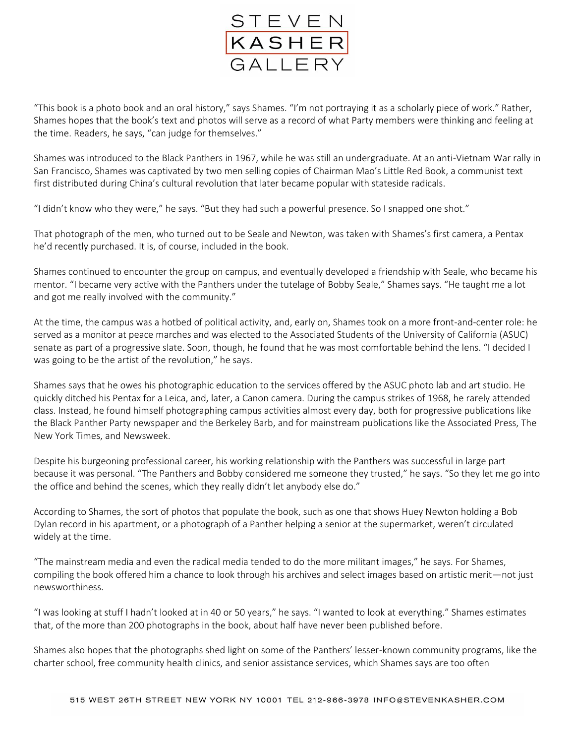

"This book is a photo book and an oral history," says Shames. "I'm not portraying it as a scholarly piece of work." Rather, Shames hopes that the book's text and photos will serve as a record of what Party members were thinking and feeling at the time. Readers, he says, "can judge for themselves."

Shames was introduced to the Black Panthers in 1967, while he was still an undergraduate. At an anti-Vietnam War rally in San Francisco, Shames was captivated by two men selling copies of Chairman Mao's Little Red Book, a communist text first distributed during China's cultural revolution that later became popular with stateside radicals.

"I didn't know who they were," he says. "But they had such a powerful presence. So I snapped one shot."

That photograph of the men, who turned out to be Seale and Newton, was taken with Shames's first camera, a Pentax he'd recently purchased. It is, of course, included in the book.

Shames continued to encounter the group on campus, and eventually developed a friendship with Seale, who became his mentor. "I became very active with the Panthers under the tutelage of Bobby Seale," Shames says. "He taught me a lot and got me really involved with the community."

At the time, the campus was a hotbed of political activity, and, early on, Shames took on a more front-and-center role: he served as a monitor at peace marches and was elected to the Associated Students of the University of California (ASUC) senate as part of a progressive slate. Soon, though, he found that he was most comfortable behind the lens. "I decided I was going to be the artist of the revolution," he says.

Shames says that he owes his photographic education to the services offered by the ASUC photo lab and art studio. He quickly ditched his Pentax for a Leica, and, later, a Canon camera. During the campus strikes of 1968, he rarely attended class. Instead, he found himself photographing campus activities almost every day, both for progressive publications like the Black Panther Party newspaper and the Berkeley Barb, and for mainstream publications like the Associated Press, The New York Times, and Newsweek.

Despite his burgeoning professional career, his working relationship with the Panthers was successful in large part because it was personal. "The Panthers and Bobby considered me someone they trusted," he says. "So they let me go into the office and behind the scenes, which they really didn't let anybody else do."

According to Shames, the sort of photos that populate the book, such as one that shows Huey Newton holding a Bob Dylan record in his apartment, or a photograph of a Panther helping a senior at the supermarket, weren't circulated widely at the time.

"The mainstream media and even the radical media tended to do the more militant images," he says. For Shames, compiling the book offered him a chance to look through his archives and select images based on artistic merit—not just newsworthiness.

"I was looking at stuff I hadn't looked at in 40 or 50 years," he says. "I wanted to look at everything." Shames estimates that, of the more than 200 photographs in the book, about half have never been published before.

Shames also hopes that the photographs shed light on some of the Panthers' lesser-known community programs, like the charter school, free community health clinics, and senior assistance services, which Shames says are too often